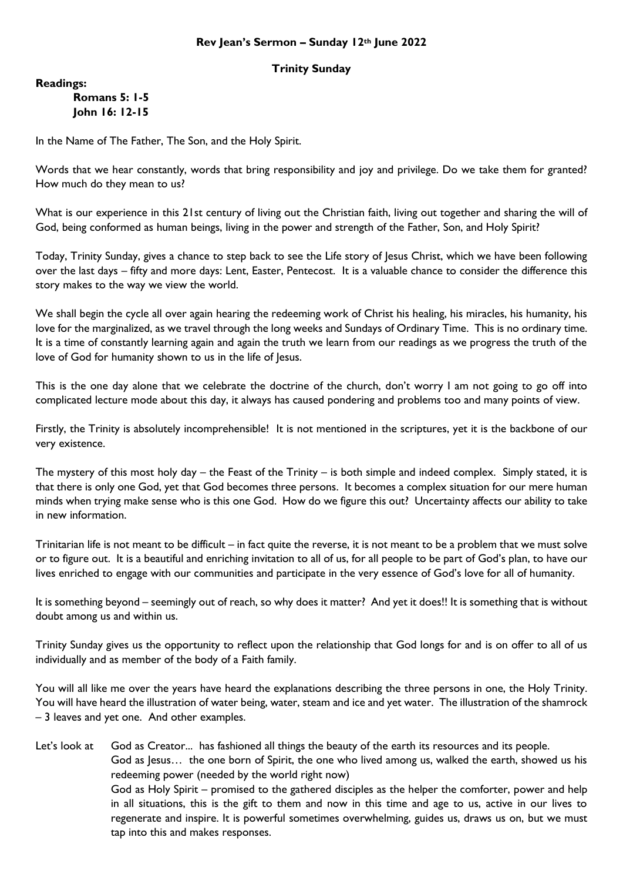## **Trinity Sunday**

**Readings:**

## **Romans 5: 1-5 John 16: 12-15**

In the Name of The Father, The Son, and the Holy Spirit.

Words that we hear constantly, words that bring responsibility and joy and privilege. Do we take them for granted? How much do they mean to us?

What is our experience in this 21st century of living out the Christian faith, living out together and sharing the will of God, being conformed as human beings, living in the power and strength of the Father, Son, and Holy Spirit?

Today, Trinity Sunday, gives a chance to step back to see the Life story of Jesus Christ, which we have been following over the last days – fifty and more days: Lent, Easter, Pentecost. It is a valuable chance to consider the difference this story makes to the way we view the world.

We shall begin the cycle all over again hearing the redeeming work of Christ his healing, his miracles, his humanity, his love for the marginalized, as we travel through the long weeks and Sundays of Ordinary Time. This is no ordinary time. It is a time of constantly learning again and again the truth we learn from our readings as we progress the truth of the love of God for humanity shown to us in the life of Jesus.

This is the one day alone that we celebrate the doctrine of the church, don't worry I am not going to go off into complicated lecture mode about this day, it always has caused pondering and problems too and many points of view.

Firstly, the Trinity is absolutely incomprehensible! It is not mentioned in the scriptures, yet it is the backbone of our very existence.

The mystery of this most holy day – the Feast of the Trinity – is both simple and indeed complex. Simply stated, it is that there is only one God, yet that God becomes three persons. It becomes a complex situation for our mere human minds when trying make sense who is this one God. How do we figure this out? Uncertainty affects our ability to take in new information.

Trinitarian life is not meant to be difficult – in fact quite the reverse, it is not meant to be a problem that we must solve or to figure out. It is a beautiful and enriching invitation to all of us, for all people to be part of God's plan, to have our lives enriched to engage with our communities and participate in the very essence of God's love for all of humanity.

It is something beyond – seemingly out of reach, so why does it matter? And yet it does!! It is something that is without doubt among us and within us.

Trinity Sunday gives us the opportunity to reflect upon the relationship that God longs for and is on offer to all of us individually and as member of the body of a Faith family.

You will all like me over the years have heard the explanations describing the three persons in one, the Holy Trinity. You will have heard the illustration of water being, water, steam and ice and yet water. The illustration of the shamrock – 3 leaves and yet one. And other examples.

Let's look at God as Creator... has fashioned all things the beauty of the earth its resources and its people. God as Jesus… the one born of Spirit, the one who lived among us, walked the earth, showed us his redeeming power (needed by the world right now) God as Holy Spirit – promised to the gathered disciples as the helper the comforter, power and help in all situations, this is the gift to them and now in this time and age to us, active in our lives to regenerate and inspire. It is powerful sometimes overwhelming, guides us, draws us on, but we must tap into this and makes responses.